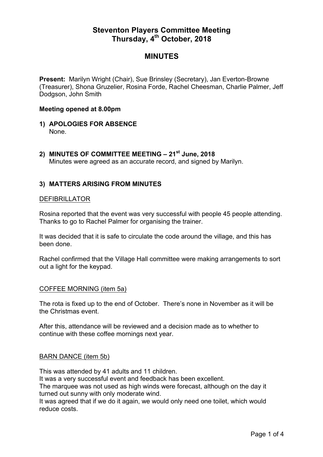# **Steventon Players Committee Meeting Thursday, 4th October, 2018**

# **MINUTES**

**Present: Marilyn Wright (Chair), Sue Brinsley (Secretary), Jan Everton-Browne** (Treasurer), Shona Gruzelier, Rosina Forde, Rachel Cheesman, Charlie Palmer, Jeff Dodgson, John Smith

### **Meeting opened at 8.00pm**

- **1) APOLOGIES FOR ABSENCE** None.
- **2) MINUTES OF COMMITTEE MEETING – 21st June, 2018** Minutes were agreed as an accurate record, and signed by Marilyn.

## **3) MATTERS ARISING FROM MINUTES**

## DEFIBRILLATOR

Rosina reported that the event was very successful with people 45 people attending. Thanks to go to Rachel Palmer for organising the trainer.

It was decided that it is safe to circulate the code around the village, and this has been done.

Rachel confirmed that the Village Hall committee were making arrangements to sort out a light for the keypad.

### COFFEE MORNING (item 5a)

The rota is fixed up to the end of October. There's none in November as it will be the Christmas event.

After this, attendance will be reviewed and a decision made as to whether to continue with these coffee mornings next year.

### BARN DANCE (item 5b)

This was attended by 41 adults and 11 children.

It was a very successful event and feedback has been excellent.

The marquee was not used as high winds were forecast, although on the day it turned out sunny with only moderate wind.

It was agreed that if we do it again, we would only need one toilet, which would reduce costs.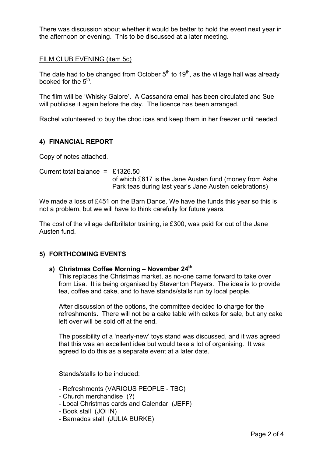There was discussion about whether it would be better to hold the event next year in the afternoon or evening. This to be discussed at a later meeting.

FILM CLUB EVENING (item 5c)

The date had to be changed from October  $5<sup>th</sup>$  to 19<sup>th</sup>, as the village hall was already booked for the  $5<sup>th</sup>$ .

The film will be 'Whisky Galore'. A Cassandra email has been circulated and Sue will publicise it again before the day. The licence has been arranged.

Rachel volunteered to buy the choc ices and keep them in her freezer until needed.

## **4) FINANCIAL REPORT**

Copy of notes attached.

Current total balance =  $£1326.50$ of which £617 is the Jane Austen fund (money from Ashe Park teas during last year's Jane Austen celebrations)

We made a loss of £451 on the Barn Dance. We have the funds this year so this is not a problem, but we will have to think carefully for future years.

The cost of the village defibrillator training, ie £300, was paid for out of the Jane Austen fund.

## **5) FORTHCOMING EVENTS**

## **a) Christmas Coffee Morning – November 24th**

This replaces the Christmas market, as no-one came forward to take over from Lisa. It is being organised by Steventon Players. The idea is to provide tea, coffee and cake, and to have stands/stalls run by local people.

After discussion of the options, the committee decided to charge for the refreshments. There will not be a cake table with cakes for sale, but any cake left over will be sold off at the end.

The possibility of a 'nearly-new' toys stand was discussed, and it was agreed that this was an excellent idea but would take a lot of organising. It was agreed to do this as a separate event at a later date.

Stands/stalls to be included:

- Refreshments (VARIOUS PEOPLE TBC)
- Church merchandise (?)
- Local Christmas cards and Calendar (JEFF)
- Book stall (JOHN)
- Barnados stall (JULIA BURKE)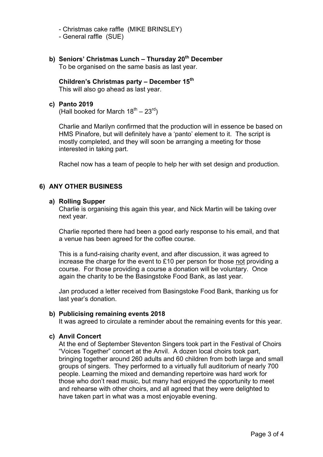- Christmas cake raffle (MIKE BRINSLEY)
- General raffle (SUE)
- **b) Seniors' Christmas Lunch – Thursday 20th December** To be organised on the same basis as last year.

**Children's Christmas party – December 15th** This will also go ahead as last year.

### **c) Panto 2019**

(Hall booked for March  $18^{th} - 23^{rd}$ )

Charlie and Marilyn confirmed that the production will in essence be based on HMS Pinafore, but will definitely have a 'panto' element to it. The script is mostly completed, and they will soon be arranging a meeting for those interested in taking part.

Rachel now has a team of people to help her with set design and production.

## **6) ANY OTHER BUSINESS**

#### **a) Rolling Supper**

Charlie is organising this again this year, and Nick Martin will be taking over next year.

Charlie reported there had been a good early response to his email, and that a venue has been agreed for the coffee course.

This is a fund-raising charity event, and after discussion, it was agreed to increase the charge for the event to £10 per person for those not providing a course. For those providing a course a donation will be voluntary. Once again the charity to be the Basingstoke Food Bank, as last year.

Jan produced a letter received from Basingstoke Food Bank, thanking us for last year's donation.

#### **b) Publicising remaining events 2018**

It was agreed to circulate a reminder about the remaining events for this year.

### **c) Anvil Concert**

At the end of September Steventon Singers took part in the Festival of Choirs "Voices Together" concert at the Anvil. A dozen local choirs took part, bringing together around 260 adults and 60 children from both large and small groups of singers. They performed to a virtually full auditorium of nearly 700 people. Learning the mixed and demanding repertoire was hard work for those who don't read music, but many had enjoyed the opportunity to meet and rehearse with other choirs, and all agreed that they were delighted to have taken part in what was a most enjoyable evening.